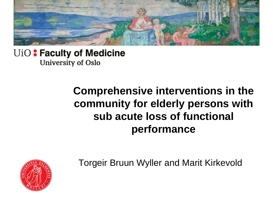

#### UiO: Faculty of Medicine University of Oslo

#### **Comprehensive interventions in the community for elderly persons with sub acute loss of functional performance**



Torgeir Bruun Wyller and Marit Kirkevold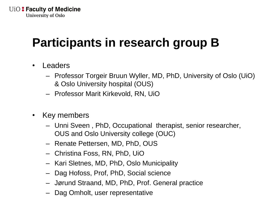# **Participants in research group B**

- **Leaders** 
	- Professor Torgeir Bruun Wyller, MD, PhD, University of Oslo (UiO) & Oslo University hospital (OUS)
	- Professor Marit Kirkevold, RN, UiO
- Key members
	- Unni Sveen , PhD, Occupational therapist, senior researcher, OUS and Oslo University college (OUC)
	- Renate Pettersen, MD, PhD, OUS
	- Christina Foss, RN, PhD, UiO
	- Kari Sletnes, MD, PhD, Oslo Municipality
	- Dag Hofoss, Prof, PhD, Social science
	- Jørund Straand, MD, PhD, Prof. General practice
	- Dag Omholt, user representative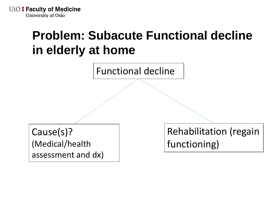**UIO: Faculty of Medicine University of Oslo** 

### **Problem: Subacute Functional decline in elderly at home**

Functional decline

Cause(s)? (Medical/health assessment and dx) Rehabilitation (regain functioning)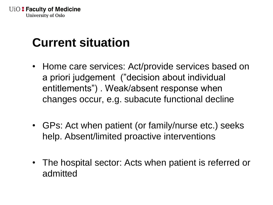# **Current situation**

- Home care services: Act/provide services based on a priori judgement ("decision about individual entitlements") . Weak/absent response when changes occur, e.g. subacute functional decline
- GPs: Act when patient (or family/nurse etc.) seeks help. Absent/limited proactive interventions
- The hospital sector: Acts when patient is referred or admitted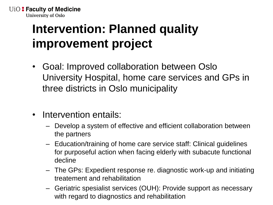**UiO: Faculty of Medicine University of Oslo** 

# **Intervention: Planned quality improvement project**

- Goal: Improved collaboration between Oslo University Hospital, home care services and GPs in three districts in Oslo municipality
- Intervention entails:
	- Develop a system of effective and efficient collaboration between the partners
	- Education/training of home care service staff: Clinical guidelines for purposeful action when facing elderly with subacute functional decline
	- The GPs: Expedient response re. diagnostic work-up and initiating treatement and rehabilitation
	- Geriatric spesialist services (OUH): Provide support as necessary with regard to diagnostics and rehabilitation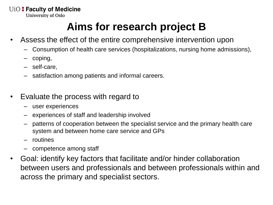UiO: Faculty of Medicine

**University of Oslo** 

#### **Aims for research project B**

- Assess the effect of the entire comprehensive intervention upon
	- Consumption of health care services (hospitalizations, nursing home admissions),
	- coping,
	- self-care,
	- satisfaction among patients and informal careers.
- Evaluate the process with regard to
	- user experiences
	- experiences of staff and leadership involved
	- patterns of cooperation between the specialist service and the primary health care system and between home care service and GPs
	- routines
	- competence among staff
- Goal: identify key factors that facilitate and/or hinder collaboration between users and professionals and between professionals within and across the primary and specialist sectors.